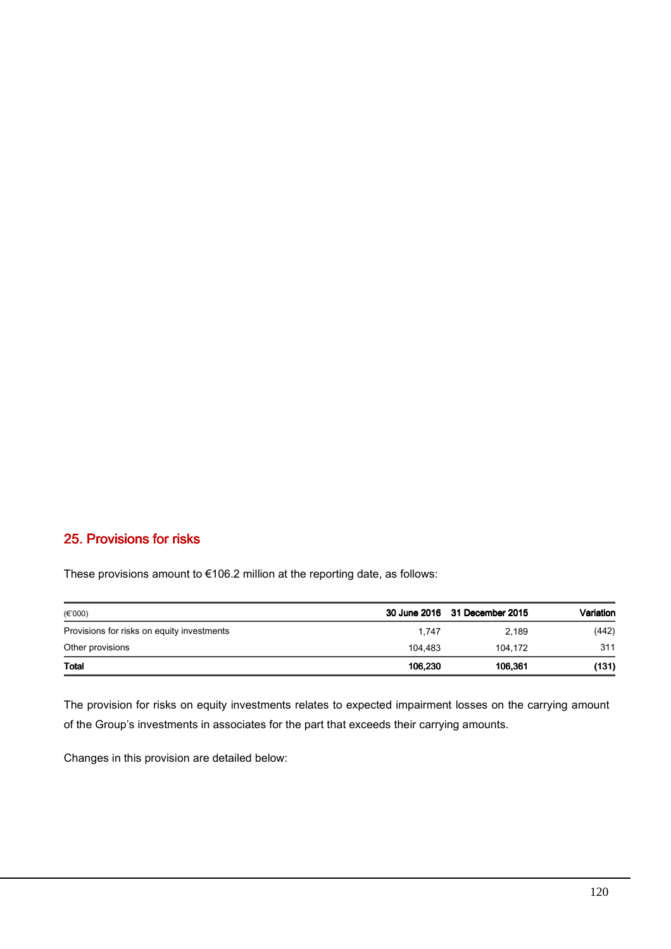## 25. Provisions for risks

These provisions amount to €106.2 million at the reporting date, as follows:

| $(\epsilon$ '000)                          |         | 30 June 2016 31 December 2015 | Variation |
|--------------------------------------------|---------|-------------------------------|-----------|
| Provisions for risks on equity investments | 1.747   | 2.189                         | (442)     |
| Other provisions                           | 104.483 | 104.172                       | 311       |
| <b>Total</b>                               | 106.230 | 106.361                       | (131)     |

The provision for risks on equity investments relates to expected impairment losses on the carrying amount of the Group's investments in associates for the part that exceeds their carrying amounts.

Changes in this provision are detailed below: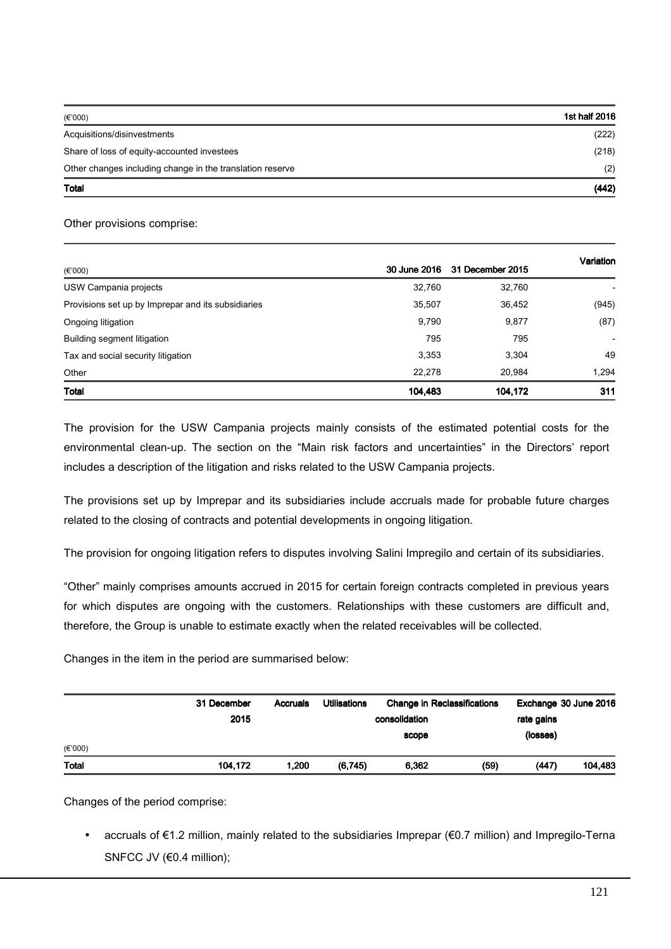| $(\epsilon$ '000)                                         | 1st half 2016 |
|-----------------------------------------------------------|---------------|
| Acquisitions/disinvestments                               | (222)         |
| Share of loss of equity-accounted investees               | (218)         |
| Other changes including change in the translation reserve | (2)           |
| Total                                                     | (442)         |

## Other provisions comprise:

|                                                    |         |                               | Variation                |  |
|----------------------------------------------------|---------|-------------------------------|--------------------------|--|
| $(\epsilon$ '000)                                  |         | 30 June 2016 31 December 2015 |                          |  |
| USW Campania projects                              | 32,760  | 32,760                        |                          |  |
| Provisions set up by Imprepar and its subsidiaries | 35,507  | 36,452                        | (945)                    |  |
| Ongoing litigation                                 | 9,790   | 9,877                         | (87)                     |  |
| Building segment litigation                        | 795     | 795                           | $\overline{\phantom{0}}$ |  |
| Tax and social security litigation                 | 3,353   | 3,304                         | 49                       |  |
| Other                                              | 22,278  | 20.984                        | 1,294                    |  |
| <b>Total</b>                                       | 104.483 | 104.172                       | 311                      |  |

The provision for the USW Campania projects mainly consists of the estimated potential costs for the environmental clean-up. The section on the "Main risk factors and uncertainties" in the Directors' report includes a description of the litigation and risks related to the USW Campania projects.

The provisions set up by Imprepar and its subsidiaries include accruals made for probable future charges related to the closing of contracts and potential developments in ongoing litigation.

The provision for ongoing litigation refers to disputes involving Salini Impregilo and certain of its subsidiaries.

"Other" mainly comprises amounts accrued in 2015 for certain foreign contracts completed in previous years for which disputes are ongoing with the customers. Relationships with these customers are difficult and, therefore, the Group is unable to estimate exactly when the related receivables will be collected.

Changes in the item in the period are summarised below:

| (E'000)      | 31 December<br>2015 | <b>Accruals</b> | <b>Utilisations</b> | <b>Change in Reclassifications</b><br>consolidation<br>scope | rate gains<br>(losses) | Exchange 30 June 2016 |
|--------------|---------------------|-----------------|---------------------|--------------------------------------------------------------|------------------------|-----------------------|
| <b>Total</b> | 104,172             | 1,200           | (6,745)             | 6,362                                                        | (59)<br>(447)          | 104,483               |

Changes of the period comprise:

• accruals of €1.2 million, mainly related to the subsidiaries Imprepar (€0.7 million) and Impregilo-Terna SNFCC JV (€0.4 million);